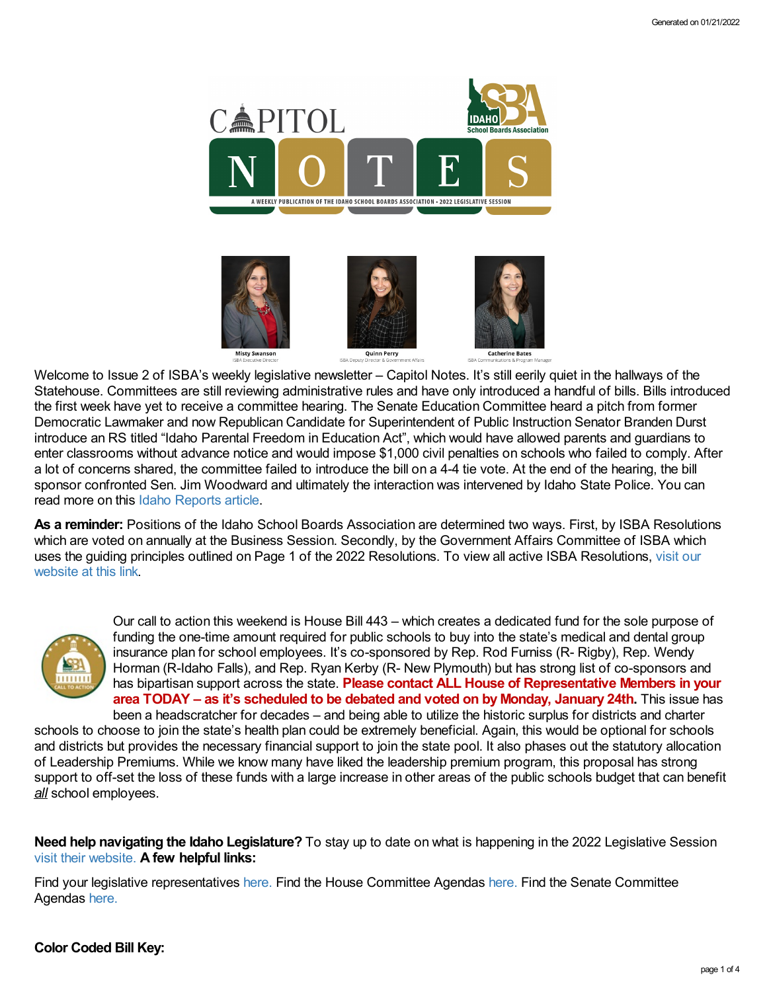

Welcome to Issue 2 of ISBA's weekly legislative newsletter – Capitol Notes. It's still eerily quiet in the hallways of the Statehouse. Committees are still reviewing administrative rules and have only introduced a handful of bills. Bills introduced the first week have yet to receive a committee hearing. The Senate Education Committee heard a pitch from former Democratic Lawmaker and now Republican Candidate for Superintendent of Public Instruction Senator Branden Durst introduce an RS titled "Idaho Parental Freedom in Education Act", which would have allowed parents and guardians to enter classrooms without advance notice and would impose \$1,000 civil penalties on schools who failed to comply. After a lot of concerns shared, the committee failed to introduce the bill on a 4-4 tie vote. At the end of the hearing, the bill sponsor confronted Sen. Jim Woodward and ultimately the interaction was intervened by Idaho State Police. You can read more on this Idaho [Reports](https://blog.idahoreports.idahoptv.org/2022/01/19/rejected-bill-leads-to-confrontation-between-senator-and-superintendent-candidate/) article.

**As a reminder:** Positions of the Idaho School Boards Association are determined two ways. First, by ISBA Resolutions which are voted on annually at the Business Session. Secondly, by the Government Affairs Committee of ISBA which uses the guiding principles outlined on Page 1 of the 2022 [Resolutions.](https://www.idsba.org/member-services/advocacy/resolutions/) To view all active ISBA Resolutions, visit our website at this link.



Our call to action this weekend is House Bill 443 – which creates a dedicated fund for the sole purpose of funding the one-time amount required for public schools to buy into the state's medical and dental group insurance plan for school employees. It's co-sponsored by Rep. Rod Furniss (R- Rigby), Rep. Wendy Horman (R-Idaho Falls), and Rep. Ryan Kerby (R- New Plymouth) but has strong list of co-sponsors and has bipartisan support across the state. **Please contact ALL House of Representative Members in your area TODAY – as it's scheduled to be debated and voted on by Monday, January 24th.** This issue has been a headscratcher for decades – and being able to utilize the historic surplus for districts and charter

schools to choose to join the state's health plan could be extremely beneficial. Again, this would be optional for schools and districts but provides the necessary financial support to join the state pool. It also phases out the statutory allocation of Leadership Premiums. While we know many have liked the leadership premium program, this proposal has strong support to off-set the loss of these funds with a large increase in other areas of the public schools budget that can benefit *all* school employees.

**Need help navigating the Idaho Legislature?** To stay up to date on what is happening in the 2022 Legislative Session visit their [website.](https://legislature.idaho.gov/legislators/whosmylegislator/) **A few helpful links:**

Find your legislative representatives [here.](https://legislature.idaho.gov/legislators/whosmylegislator/) Find the House Committee Agendas [here.](https://legislature.idaho.gov/sessioninfo/agenda/hagenda/) Find the Senate Committee Agendas [here.](https://legislature.idaho.gov/sessioninfo/agenda/sagenda/)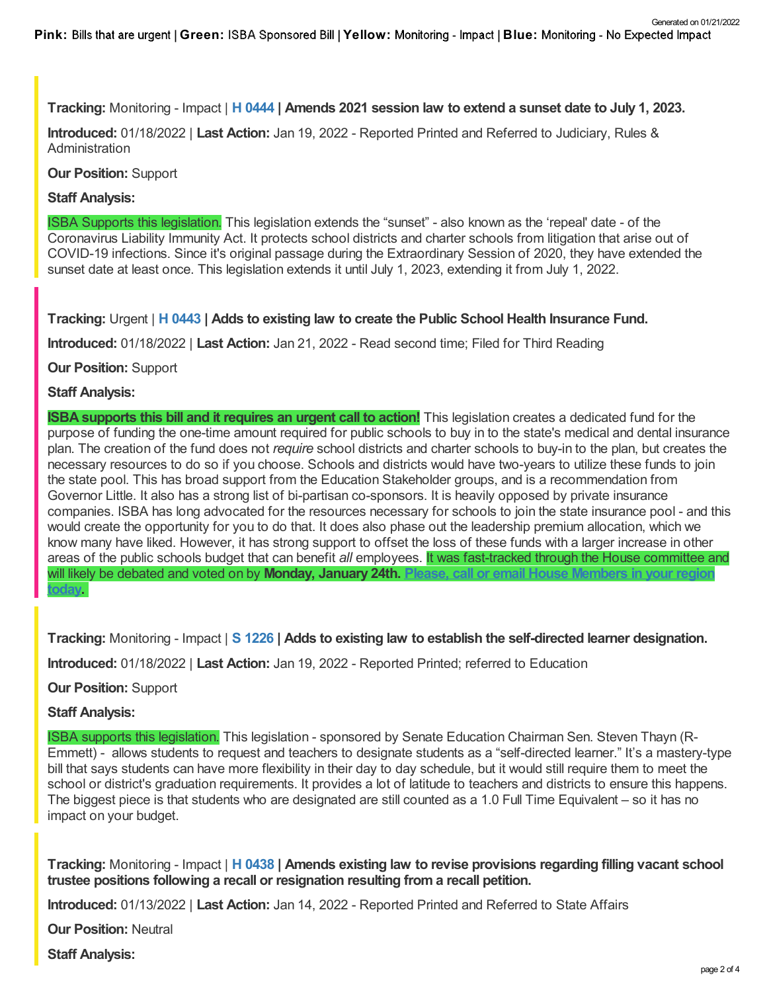## **Tracking:** Monitoring - Impact | **H [0444](https://legislature.idaho.gov/sessioninfo/2022/legislation/H0444/) | Amends 2021 session law to extend a sunset date to July 1, 2023.**

**Introduced:** 01/18/2022 | **Last Action:** Jan 19, 2022 - Reported Printed and Referred to Judiciary, Rules & Administration

**Our Position:** Support

## **Staff Analysis:**

ISBA Supports this legislation. This legislation extends the "sunset" - also known as the 'repeal' date - of the Coronavirus Liability Immunity Act. It protects school districts and charter schools from litigation that arise out of COVID-19 infections. Since it's original passage during the Extraordinary Session of 2020, they have extended the sunset date at least once. This legislation extends it until July 1, 2023, extending it from July 1, 2022.

**Tracking:** Urgent | **H [0443](https://legislature.idaho.gov/sessioninfo/2022/legislation/H0443/) | Adds to existing law to create the Public School Health Insurance Fund.**

**Introduced:** 01/18/2022 | **Last Action:** Jan 21, 2022 - Read second time; Filed for Third Reading

**Our Position:** Support

## **Staff Analysis:**

**ISBA supports this bill and it requires an urgent call to action!** This legislation creates a dedicated fund for the purpose of funding the one-time amount required for public schools to buy in to the state's medical and dental insurance plan. The creation of the fund does not *require* school districts and charter schools to buy-in to the plan, but creates the necessary resources to do so if you choose. Schools and districts would have two-years to utilize these funds to join the state pool. This has broad support from the Education Stakeholder groups, and is a recommendation from Governor Little. It also has a strong list of bi-partisan co-sponsors. It is heavily opposed by private insurance companies. ISBA has long advocated for the resources necessary for schools to join the state insurance pool - and this would create the opportunity for you to do that. It does also phase out the leadership premium allocation, which we know many have liked. However, it has strong support to offset the loss of these funds with a larger increase in other areas of the public schools budget that can benefit *all* employees. It was fast-tracked through the House committee and will likely be debated and voted on by **Monday, January 24th. Please, call or email House [Members](https://legislature.idaho.gov/house/membership/) in your region today.**

**Tracking:** Monitoring - Impact | **S [1226](https://legislature.idaho.gov/sessioninfo/2022/legislation/S1226/) | Adds to existing law to establish the self-directed learner designation.**

**Introduced:** 01/18/2022 | **Last Action:** Jan 19, 2022 - Reported Printed; referred to Education

**Our Position:** Support

#### **Staff Analysis:**

ISBA supports this legislation. This legislation - sponsored by Senate Education Chairman Sen. Steven Thayn (R-Emmett) - allows students to request and teachers to designate students as a "self-directed learner." It's a mastery-type bill that says students can have more flexibility in their day to day schedule, but it would still require them to meet the school or district's graduation requirements. It provides a lot of latitude to teachers and districts to ensure this happens. The biggest piece is that students who are designated are still counted as a 1.0 Full Time Equivalent – so it has no impact on your budget.

**Tracking:** Monitoring - Impact | **H [0438](https://legislature.idaho.gov/sessioninfo/2022/legislation/H0438/) | Amends existing law to revise provisions regarding filling vacant school trustee positions following a recall or resignation resulting from a recall petition.**

**Introduced:** 01/13/2022 | **Last Action:** Jan 14, 2022 - Reported Printed and Referred to State Affairs

**Our Position:** Neutral

**Staff Analysis:**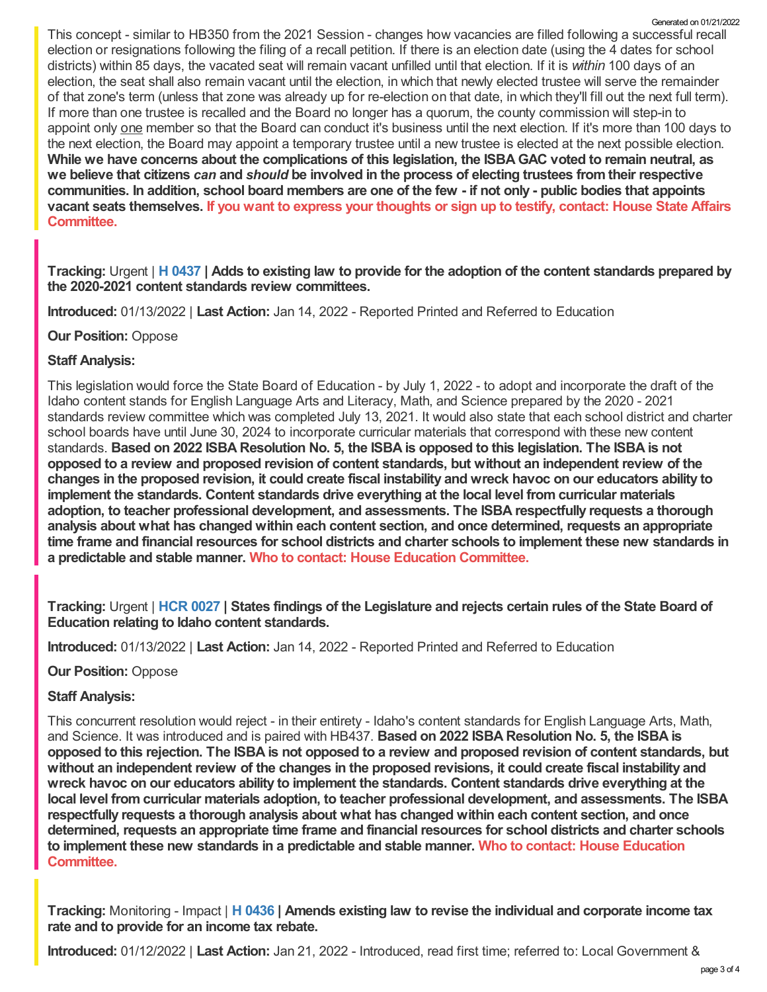This concept - similar to HB350 from the 2021 Session - changes how vacancies are filled following a successful recall election or resignations following the filing of a recall petition. If there is an election date (using the 4 dates for school districts) within 85 days, the vacated seat will remain vacant unfilled until that election. If it is *within* 100 days of an election, the seat shall also remain vacant until the election, in which that newly elected trustee will serve the remainder of that zone's term (unless that zone was already up for re-election on that date, in which they'll fill out the next full term). If more than one trustee is recalled and the Board no longer has a quorum, the county commission will step-in to appoint only one member so that the Board can conduct it's business until the next election. If it's more than 100 days to the next election, the Board may appoint a temporary trustee until a new trustee is elected at the next possible election. While we have concerns about the complications of this legislation, the ISBA GAC voted to remain neutral, as we believe that citizens can and should be involved in the process of electing trustees from their respective communities. In addition, school board members are one of the few - if not only - public bodies that appoints vacant seats [themselves.](https://legislature.idaho.gov/sessioninfo/2022/standingcommittees/HSTA/) If you want to express your thoughts or sign up to testify, contact: House State Affairs **Committee.** Generated on 01/21/2022

Tracking: Urgent | H [0437](https://legislature.idaho.gov/sessioninfo/2022/legislation/H0437/) | Adds to existing law to provide for the adoption of the content standards prepared by **the 2020-2021 content standards review committees.**

**Introduced:** 01/13/2022 | **Last Action:** Jan 14, 2022 - Reported Printed and Referred to Education

**Our Position:** Oppose

#### **Staff Analysis:**

This legislation would force the State Board of Education - by July 1, 2022 - to adopt and incorporate the draft of the Idaho content stands for English Language Arts and Literacy, Math, and Science prepared by the 2020 - 2021 standards review committee which was completed July 13, 2021. It would also state that each school district and charter school boards have until June 30, 2024 to incorporate curricular materials that correspond with these new content standards. Based on 2022 ISBA Resolution No. 5, the ISBA is opposed to this legislation. The ISBA is not **opposed to a review and proposed revision of content standards, but without an independent review of the** changes in the proposed revision, it could create fiscal instability and wreck havoc on our educators ability to **implement the standards. Content standards drive everything at the local level from curricular materials adoption, to teacher professional development, and assessments. The ISBA respectfully requests a thorough analysis about what has changed within each content section, and once determined, requests an appropriate** time frame and financial resources for school districts and charter schools to implement these new standards in **a predictable and stable manner. Who to contact: House Education [Committee.](https://legislature.idaho.gov/sessioninfo/2022/standingcommittees/HEDU/)**

Tracking: Urgent | HCR [0027](https://legislature.idaho.gov/sessioninfo/2022/legislation/HCR027/) | States findings of the Legislature and rejects certain rules of the State Board of **Education relating to Idaho content standards.**

**Introduced:** 01/13/2022 | **Last Action:** Jan 14, 2022 - Reported Printed and Referred to Education

#### **Our Position:** Oppose

#### **Staff Analysis:**

This concurrent resolution would reject - in their entirety - Idaho's content standards for English Language Arts, Math, and Science. It was introduced and is paired with HB437. **Based on 2022 ISBA Resolution No. 5, the ISBA is** opposed to this rejection. The ISBA is not opposed to a review and proposed revision of content standards, but without an independent review of the changes in the proposed revisions, it could create fiscal instability and **wreck havoc on our educators ability to implement the standards. Content standards drive everything at the local level from curricular materials adoption, to teacher professional development, and assessments. The ISBA respectfully requests a thorough analysis about what has changed within each content section, and once determined, requests an appropriate time frame and financial resources for school districts and charter schools to implement these new standards in a predictable and stable manner. Who to contact: House Education [Committee.](https://legislature.idaho.gov/sessioninfo/2022/standingcommittees/HEDU/)**

**Tracking:** Monitoring - Impact | **H [0436](https://legislature.idaho.gov/sessioninfo/2022/legislation/H0436/) | Amends existing law to revise the individual and corporate income tax rate and to provide for an income tax rebate.**

**Introduced:** 01/12/2022 | **Last Action:** Jan 21, 2022 - Introduced, read first time; referred to: Local Government &